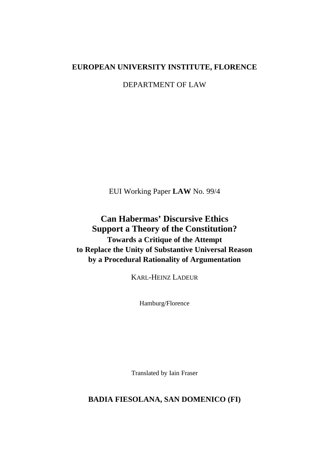#### **EUROPEAN UNIVERSITY INSTITUTE, FLORENCE**

DEPARTMENT OF LAW

EUI Working Paper **LAW** No. 99/4

**Can Habermas' Discursive Ethics Support a Theory of the Constitution? Towards a Critique of the Attempt to Replace the Unity of Substantive Universal Reason by a Procedural Rationality of Argumentation**

KARL-HEINZ LADEUR

Hamburg/Florence

Translated by Iain Fraser

**BADIA FIESOLANA, SAN DOMENICO (FI)**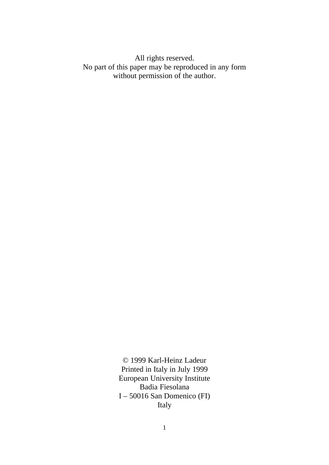All rights reserved. No part of this paper may be reproduced in any form without permission of the author.

> © 1999 Karl-Heinz Ladeur Printed in Italy in July 1999 European University Institute Badia Fiesolana I – 50016 San Domenico (FI) Italy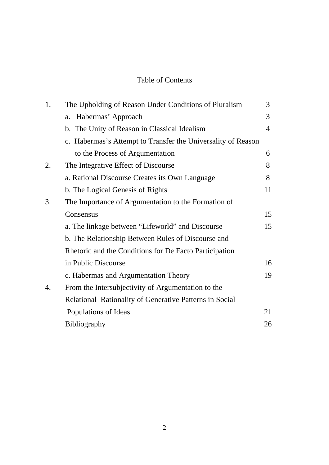## Table of Contents

| 1. | The Upholding of Reason Under Conditions of Pluralism        | 3  |
|----|--------------------------------------------------------------|----|
|    | Habermas' Approach<br>a.                                     | 3  |
|    | b. The Unity of Reason in Classical Idealism                 | 4  |
|    | c. Habermas's Attempt to Transfer the Universality of Reason |    |
|    | to the Process of Argumentation                              | 6  |
| 2. | The Integrative Effect of Discourse                          | 8  |
|    | a. Rational Discourse Creates its Own Language               | 8  |
|    | b. The Logical Genesis of Rights                             | 11 |
| 3. | The Importance of Argumentation to the Formation of          |    |
|    | Consensus                                                    | 15 |
|    | a. The linkage between "Lifeworld" and Discourse             | 15 |
|    | b. The Relationship Between Rules of Discourse and           |    |
|    | Rhetoric and the Conditions for De Facto Participation       |    |
|    | in Public Discourse                                          | 16 |
|    | c. Habermas and Argumentation Theory                         | 19 |
| 4. | From the Intersubjectivity of Argumentation to the           |    |
|    | Relational Rationality of Generative Patterns in Social      |    |
|    | Populations of Ideas                                         | 21 |
|    | <b>Bibliography</b>                                          | 26 |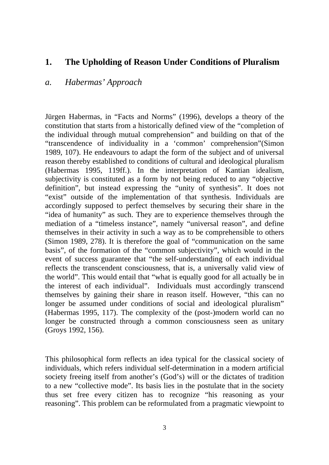### **1. The Upholding of Reason Under Conditions of Pluralism**

### *a. Habermas' Approach*

Jürgen Habermas, in "Facts and Norms" (1996), develops a theory of the constitution that starts from a historically defined view of the "completion of the individual through mutual comprehension" and building on that of the "transcendence of individuality in a 'common' comprehension"(Simon 1989, 107). He endeavours to adapt the form of the subject and of universal reason thereby established to conditions of cultural and ideological pluralism (Habermas 1995, 119ff.). In the interpretation of Kantian idealism, subjectivity is constituted as a form by not being reduced to any "objective definition", but instead expressing the "unity of synthesis". It does not "exist" outside of the implementation of that synthesis. Individuals are accordingly supposed to perfect themselves by securing their share in the "idea of humanity" as such. They are to experience themselves through the mediation of a "timeless instance", namely "universal reason", and define themselves in their activity in such a way as to be comprehensible to others (Simon 1989, 278). It is therefore the goal of "communication on the same basis", of the formation of the "common subjectivity", which would in the event of success guarantee that "the self-understanding of each individual reflects the transcendent consciousness, that is, a universally valid view of the world". This would entail that "what is equally good for all actually be in the interest of each individual". Individuals must accordingly transcend themselves by gaining their share in reason itself. However, "this can no longer be assumed under conditions of social and ideological pluralism" (Habermas 1995, 117). The complexity of the (post-)modern world can no longer be constructed through a common consciousness seen as unitary (Groys 1992, 156).

This philosophical form reflects an idea typical for the classical society of individuals, which refers individual self-determination in a modern artificial society freeing itself from another's (God's) will or the dictates of tradition to a new "collective mode". Its basis lies in the postulate that in the society thus set free every citizen has to recognize "his reasoning as your reasoning". This problem can be reformulated from a pragmatic viewpoint to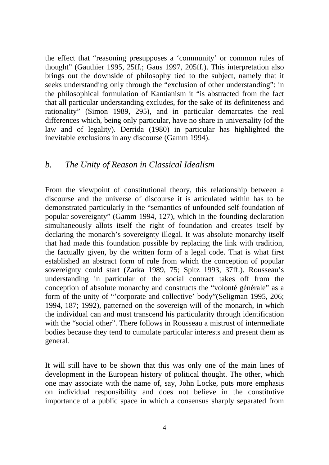the effect that "reasoning presupposes a 'community' or common rules of thought" (Gauthier 1995, 25ff.; Gaus 1997, 205ff.). This interpretation also brings out the downside of philosophy tied to the subject, namely that it seeks understanding only through the "exclusion of other understanding": in the philosophical formulation of Kantianism it "is abstracted from the fact that all particular understanding excludes, for the sake of its definiteness and rationality" (Simon 1989, 295), and in particular demarcates the real differences which, being only particular, have no share in universality (of the law and of legality). Derrida (1980) in particular has highlighted the inevitable exclusions in any discourse (Gamm 1994).

### *b. The Unity of Reason in Classical Idealism*

From the viewpoint of constitutional theory, this relationship between a discourse and the universe of discourse it is articulated within has to be demonstrated particularly in the "semantics of unfounded self-foundation of popular sovereignty" (Gamm 1994, 127), which in the founding declaration simultaneously allots itself the right of foundation and creates itself by declaring the monarch's sovereignty illegal. It was absolute monarchy itself that had made this foundation possible by replacing the link with tradition, the factually given, by the written form of a legal code. That is what first established an abstract form of rule from which the conception of popular sovereignty could start (Zarka 1989, 75; Spitz 1993, 37ff.). Rousseau's understanding in particular of the social contract takes off from the conception of absolute monarchy and constructs the "volonté générale" as a form of the unity of "'corporate and collective' body"(Seligman 1995, 206; 1994, 187; 1992), patterned on the sovereign will of the monarch, in which the individual can and must transcend his particularity through identification with the "social other". There follows in Rousseau a mistrust of intermediate bodies because they tend to cumulate particular interests and present them as general.

It will still have to be shown that this was only one of the main lines of development in the European history of political thought. The other, which one may associate with the name of, say, John Locke, puts more emphasis on individual responsibility and does not believe in the constitutive importance of a public space in which a consensus sharply separated from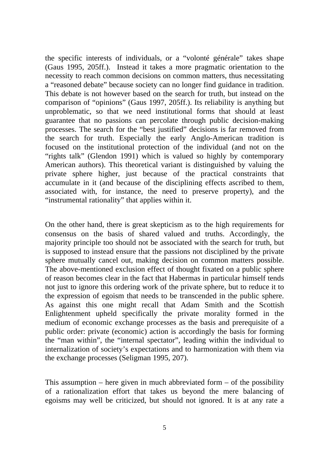the specific interests of individuals, or a "volonté générale" takes shape (Gaus 1995, 205ff.). Instead it takes a more pragmatic orientation to the necessity to reach common decisions on common matters, thus necessitating a "reasoned debate" because society can no longer find guidance in tradition. This debate is not however based on the search for truth, but instead on the comparison of "opinions" (Gaus 1997, 205ff.). Its reliability is anything but unproblematic, so that we need institutional forms that should at least guarantee that no passions can percolate through public decision-making processes. The search for the "best justified" decisions is far removed from the search for truth. Especially the early Anglo-American tradition is focused on the institutional protection of the individual (and not on the "rights talk" (Glendon 1991) which is valued so highly by contemporary American authors). This theoretical variant is distinguished by valuing the private sphere higher, just because of the practical constraints that accumulate in it (and because of the disciplining effects ascribed to them, associated with, for instance, the need to preserve property), and the "instrumental rationality" that applies within it.

On the other hand, there is great skepticism as to the high requirements for consensus on the basis of shared valued and truths. Accordingly, the majority principle too should not be associated with the search for truth, but is supposed to instead ensure that the passions not disciplined by the private sphere mutually cancel out, making decision on common matters possible. The above-mentioned exclusion effect of thought fixated on a public sphere of reason becomes clear in the fact that Habermas in particular himself tends not just to ignore this ordering work of the private sphere, but to reduce it to the expression of egoism that needs to be transcended in the public sphere. As against this one might recall that Adam Smith and the Scottish Enlightenment upheld specifically the private morality formed in the medium of economic exchange processes as the basis and prerequisite of a public order: private (economic) action is accordingly the basis for forming the "man within", the "internal spectator", leading within the individual to internalization of society's expectations and to harmonization with them via the exchange processes (Seligman 1995, 207).

This assumption – here given in much abbreviated form – of the possibility of a rationalization effort that takes us beyond the mere balancing of egoisms may well be criticized, but should not ignored. It is at any rate a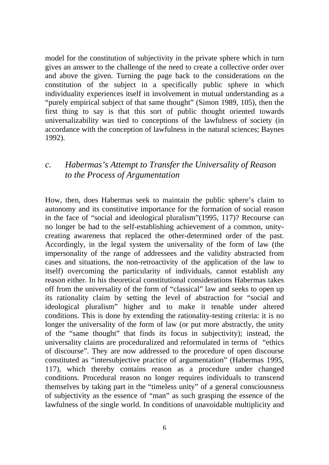model for the constitution of subjectivity in the private sphere which in turn gives an answer to the challenge of the need to create a collective order over and above the given. Turning the page back to the considerations on the constitution of the subject in a specifically public sphere in which individuality experiences itself in involvement in mutual understanding as a "purely empirical subject of that same thought" (Simon 1989, 105), then the first thing to say is that this sort of public thought oriented towards universalizability was tied to conceptions of the lawfulness of society (in accordance with the conception of lawfulness in the natural sciences; Baynes 1992).

## *c. Habermas's Attempt to Transfer the Universality of Reason to the Process of Argumentation*

How, then, does Habermas seek to maintain the public sphere's claim to autonomy and its constitutive importance for the formation of social reason in the face of "social and ideological pluralism"(1995, 117)? Recourse can no longer be had to the self-establishing achievement of a common, unitycreating awareness that replaced the other-determined order of the past. Accordingly, in the legal system the universality of the form of law (the impersonality of the range of addressees and the validity abstracted from cases and situations, the non-retroactivity of the application of the law to itself) overcoming the particularity of individuals, cannot establish any reason either. In his theoretical constitutional considerations Habermas takes off from the universality of the form of "classical" law and seeks to open up its rationality claim by setting the level of abstraction for "social and ideological pluralism" higher and to make it tenable under altered conditions. This is done by extending the rationality-testing criteria: it is no longer the universality of the form of law (or put more abstractly, the unity of the "same thought" that finds its focus in subjectivity); instead, the universality claims are proceduralized and reformulated in terms of "ethics of discourse". They are now addressed to the procedure of open discourse constituted as "intersubjective practice of argumentation" (Habermas 1995, 117), which thereby contains reason as a procedure under changed conditions. Procedural reason no longer requires individuals to transcend themselves by taking part in the "timeless unity" of a general consciousness of subjectivity as the essence of "man" as such grasping the essence of the lawfulness of the single world. In conditions of unavoidable multiplicity and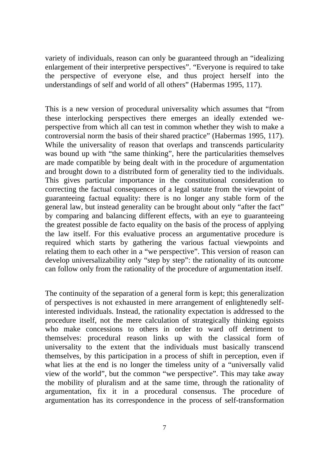variety of individuals, reason can only be guaranteed through an "idealizing enlargement of their interpretive perspectives". "Everyone is required to take the perspective of everyone else, and thus project herself into the understandings of self and world of all others" (Habermas 1995, 117).

This is a new version of procedural universality which assumes that "from these interlocking perspectives there emerges an ideally extended weperspective from which all can test in common whether they wish to make a controversial norm the basis of their shared practice" (Habermas 1995, 117). While the universality of reason that overlaps and transcends particularity was bound up with "the same thinking", here the particularities themselves are made compatible by being dealt with in the procedure of argumentation and brought down to a distributed form of generality tied to the individuals. This gives particular importance in the constitutional consideration to correcting the factual consequences of a legal statute from the viewpoint of guaranteeing factual equality: there is no longer any stable form of the general law, but instead generality can be brought about only "after the fact" by comparing and balancing different effects, with an eye to guaranteeing the greatest possible de facto equality on the basis of the process of applying the law itself. For this evaluative process an argumentative procedure is required which starts by gathering the various factual viewpoints and relating them to each other in a "we perspective". This version of reason can develop universalizability only "step by step": the rationality of its outcome can follow only from the rationality of the procedure of argumentation itself.

The continuity of the separation of a general form is kept; this generalization of perspectives is not exhausted in mere arrangement of enlightenedly selfinterested individuals. Instead, the rationality expectation is addressed to the procedure itself, not the mere calculation of strategically thinking egoists who make concessions to others in order to ward off detriment to themselves: procedural reason links up with the classical form of universality to the extent that the individuals must basically transcend themselves, by this participation in a process of shift in perception, even if what lies at the end is no longer the timeless unity of a "universally valid view of the world", but the common "we perspective". This may take away the mobility of pluralism and at the same time, through the rationality of argumentation, fix it in a procedural consensus. The procedure of argumentation has its correspondence in the process of self-transformation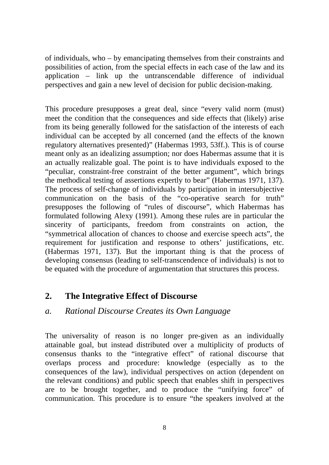of individuals, who – by emancipating themselves from their constraints and possibilities of action, from the special effects in each case of the law and its application – link up the untranscendable difference of individual perspectives and gain a new level of decision for public decision-making.

This procedure presupposes a great deal, since "every valid norm (must) meet the condition that the consequences and side effects that (likely) arise from its being generally followed for the satisfaction of the interests of each individual can be accepted by all concerned (and the effects of the known regulatory alternatives presented)" (Habermas 1993, 53ff.). This is of course meant only as an idealizing assumption; nor does Habermas assume that it is an actually realizable goal. The point is to have individuals exposed to the "peculiar, constraint-free constraint of the better argument", which brings the methodical testing of assertions expertly to bear" (Habermas 1971, 137). The process of self-change of individuals by participation in intersubjective communication on the basis of the "co-operative search for truth" presupposes the following of "rules of discourse", which Habermas has formulated following Alexy (1991). Among these rules are in particular the sincerity of participants, freedom from constraints on action, the "symmetrical allocation of chances to choose and exercise speech acts", the requirement for justification and response to others' justifications, etc. (Habermas 1971, 137). But the important thing is that the process of developing consensus (leading to self-transcendence of individuals) is not to be equated with the procedure of argumentation that structures this process.

## **2. The Integrative Effect of Discourse**

#### *a. Rational Discourse Creates its Own Language*

The universality of reason is no longer pre-given as an individually attainable goal, but instead distributed over a multiplicity of products of consensus thanks to the "integrative effect" of rational discourse that overlaps process and procedure: knowledge (especially as to the consequences of the law), individual perspectives on action (dependent on the relevant conditions) and public speech that enables shift in perspectives are to be brought together, and to produce the "unifying force" of communication. This procedure is to ensure "the speakers involved at the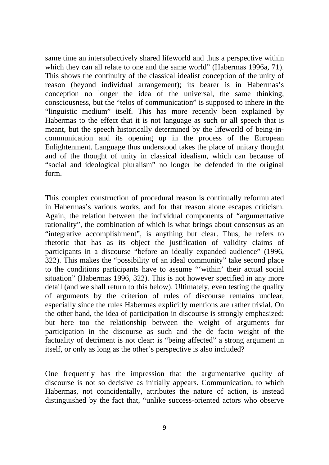same time an intersubectively shared lifeworld and thus a perspective within which they can all relate to one and the same world" (Habermas 1996a, 71). This shows the continuity of the classical idealist conception of the unity of reason (beyond individual arrangement); its bearer is in Habermas's conception no longer the idea of the universal, the same thinking, consciousness, but the "telos of communication" is supposed to inhere in the "linguistic medium" itself. This has more recently been explained by Habermas to the effect that it is not language as such or all speech that is meant, but the speech historically determined by the lifeworld of being-incommunication and its opening up in the process of the European Enlightenment. Language thus understood takes the place of unitary thought and of the thought of unity in classical idealism, which can because of "social and ideological pluralism" no longer be defended in the original form.

This complex construction of procedural reason is continually reformulated in Habermas's various works, and for that reason alone escapes criticism. Again, the relation between the individual components of "argumentative rationality", the combination of which is what brings about consensus as an "integrative accomplishment", is anything but clear. Thus, he refers to rhetoric that has as its object the justification of validity claims of participants in a discourse "before an ideally expanded audience" (1996, 322). This makes the "possibility of an ideal community" take second place to the conditions participants have to assume "'within' their actual social situation" (Habermas 1996, 322). This is not however specified in any more detail (and we shall return to this below). Ultimately, even testing the quality of arguments by the criterion of rules of discourse remains unclear, especially since the rules Habermas explicitly mentions are rather trivial. On the other hand, the idea of participation in discourse is strongly emphasized: but here too the relationship between the weight of arguments for participation in the discourse as such and the de facto weight of the factuality of detriment is not clear: is "being affected" a strong argument in itself, or only as long as the other's perspective is also included?

One frequently has the impression that the argumentative quality of discourse is not so decisive as initially appears. Communication, to which Habermas, not coincidentally, attributes the nature of action, is instead distinguished by the fact that, "unlike success-oriented actors who observe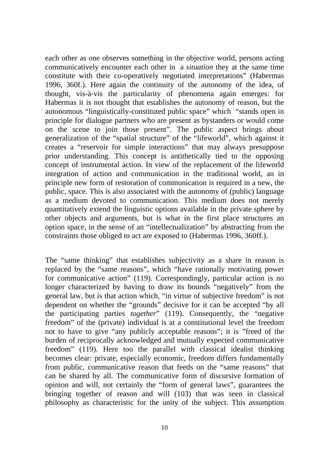each other as one observes something in the objective world, persons acting communicatively encounter each other in a *situation* they at the same time constitute with their co-operatively negotiated interpretations" (Habermas 1996, 360f.). Here again the continuity of the autonomy of the idea, of thought, vis-à-vis the particularity of phenomena again emerges: for Habermas it is not thought that establishes the autonomy of reason, but the autonomous "linguistically-constituted public space" which "stands open in principle for dialogue partners who are present as bystanders or would come on the scene to join those present". The public aspect brings about generalization of the "spatial structure" of the "lifeworld", which against it creates a "reservoir for simple interactions" that may always presuppose prior understanding. This concept is antithetically tied to the opposing concept of instrumental action. In view of the replacement of the lifeworld integration of action and communication in the traditional world, an in principle new form of restoration of communication is required in a new, the public, space. This is also associated with the autonomy of (public) language as a medium devoted to communication. This medium does not merely quantitatively extend the linguistic options available in the private sphere by other objects and arguments, but is what in the first place structures an option space, in the sense of an "intellectualization" by abstracting from the constraints those obliged to act are exposed to (Habermas 1996, 360ff.).

The "same thinking" that establishes subjectivity as a share in reason is replaced by the "same reasons", which "have rationally motivating power for communicative action" (119). Correspondingly, particular action is no longer characterized by having to draw its bounds "negatively" from the general law, but is that action which, "in virtue of subjective freedom" is not dependent on whether the "grounds" decisive for it can be accepted "by all the participating parties *together*" (119). Consequently, the "negative freedom" of the (private) individual is at a constitutional level the freedom not to have to give "any publicly acceptable reasons"; it is "freed of the burden of reciprocally acknowledged and mutually expected communicative freedom" (119). Here too the parallel with classical idealist thinking becomes clear: private, especially economic, freedom differs fundamentally from public, communicative reason that feeds on the "same reasons" that can be shared by all. The communicative form of discursive formation of opinion and will, not certainly the "form of general laws", guarantees the bringing together of reason and will (103) that was seen in classical philosophy as characteristic for the unity of the subject. This assumption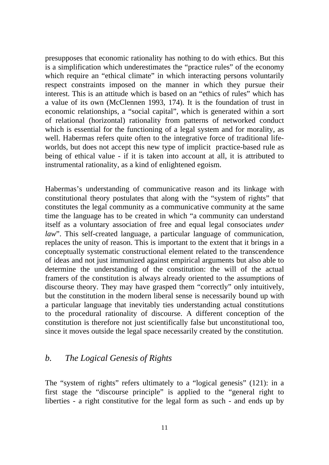presupposes that economic rationality has nothing to do with ethics. But this is a simplification which underestimates the "practice rules" of the economy which require an "ethical climate" in which interacting persons voluntarily respect constraints imposed on the manner in which they pursue their interest. This is an attitude which is based on an "ethics of rules" which has a value of its own (McClennen 1993, 174). It is the foundation of trust in economic relationships, a "social capital", which is generated within a sort of relational (horizontal) rationality from patterns of networked conduct which is essential for the functioning of a legal system and for morality, as well. Habermas refers quite often to the integrative force of traditional lifeworlds, but does not accept this new type of implicit practice-based rule as being of ethical value - if it is taken into account at all, it is attributed to instrumental rationality, as a kind of enlightened egoism.

Habermas's understanding of communicative reason and its linkage with constitutional theory postulates that along with the "system of rights" that constitutes the legal community as a communicative community at the same time the language has to be created in which "a community can understand itself as a voluntary association of free and equal legal consociates *under law*". This self-created language, a particular language of communication, replaces the unity of reason. This is important to the extent that it brings in a conceptually systematic constructional element related to the transcendence of ideas and not just immunized against empirical arguments but also able to determine the understanding of the constitution: the will of the actual framers of the constitution is always already oriented to the assumptions of discourse theory. They may have grasped them "correctly" only intuitively, but the constitution in the modern liberal sense is necessarily bound up with a particular language that inevitably ties understanding actual constitutions to the procedural rationality of discourse. A different conception of the constitution is therefore not just scientifically false but unconstitutional too, since it moves outside the legal space necessarily created by the constitution.

### *b. The Logical Genesis of Rights*

The "system of rights" refers ultimately to a "logical genesis" (121): in a first stage the "discourse principle" is applied to the "general right to liberties - a right constitutive for the legal form as such - and ends up by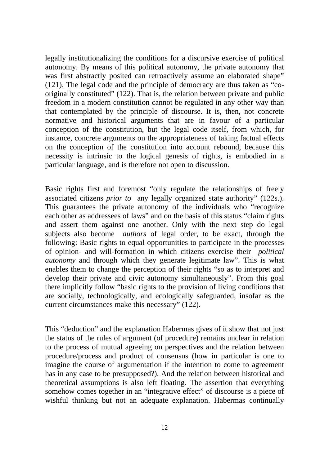legally institutionalizing the conditions for a discursive exercise of political autonomy. By means of this political autonomy, the private autonomy that was first abstractly posited can retroactively assume an elaborated shape" (121). The legal code and the principle of democracy are thus taken as "cooriginally constituted" (122). That is, the relation between private and public freedom in a modern constitution cannot be regulated in any other way than that contemplated by the principle of discourse. It is, then, not concrete normative and historical arguments that are in favour of a particular conception of the constitution, but the legal code itself, from which, for instance, concrete arguments on the appropriateness of taking factual effects on the conception of the constitution into account rebound, because this necessity is intrinsic to the logical genesis of rights, is embodied in a particular language, and is therefore not open to discussion.

Basic rights first and foremost "only regulate the relationships of freely associated citizens *prior to* any legally organized state authority" (122s.). This guarantees the private autonomy of the individuals who "recognize each other as addressees of laws" and on the basis of this status "claim rights and assert them against one another. Only with the next step do legal subjects also become *authors* of legal order, to be exact, through the following: Basic rights to equal opportunities to participate in the processes of opinion- and will-formation in which citizens exercise their *political autonomy* and through which they generate legitimate law". This is what enables them to change the perception of their rights "so as to interpret and develop their private and civic autonomy simultaneously". From this goal there implicitly follow "basic rights to the provision of living conditions that are socially, technologically, and ecologically safeguarded, insofar as the current circumstances make this necessary" (122).

This "deduction" and the explanation Habermas gives of it show that not just the status of the rules of argument (of procedure) remains unclear in relation to the process of mutual agreeing on perspectives and the relation between procedure/process and product of consensus (how in particular is one to imagine the course of argumentation if the intention to come to agreement has in any case to be presupposed?). And the relation between historical and theoretical assumptions is also left floating. The assertion that everything somehow comes together in an "integrative effect" of discourse is a piece of wishful thinking but not an adequate explanation. Habermas continually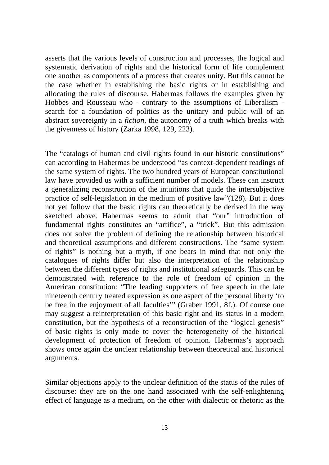asserts that the various levels of construction and processes, the logical and systematic derivation of rights and the historical form of life complement one another as components of a process that creates unity. But this cannot be the case whether in establishing the basic rights or in establishing and allocating the rules of discourse. Habermas follows the examples given by Hobbes and Rousseau who - contrary to the assumptions of Liberalism search for a foundation of politics as the unitary and public will of an abstract sovereignty in a *fiction*, the autonomy of a truth which breaks with the givenness of history (Zarka 1998, 129, 223).

The "catalogs of human and civil rights found in our historic constitutions" can according to Habermas be understood "as context-dependent readings of the same system of rights. The two hundred years of European constitutional law have provided us with a sufficient number of models. These can instruct a generalizing reconstruction of the intuitions that guide the intersubjective practice of self-legislation in the medium of positive law"(128). But it does not yet follow that the basic rights can theoretically be derived in the way sketched above. Habermas seems to admit that "our" introduction of fundamental rights constitutes an "artifice", a "trick". But this admission does not solve the problem of defining the relationship between historical and theoretical assumptions and different constructions. The "same system of rights" is nothing but a myth, if one bears in mind that not only the catalogues of rights differ but also the interpretation of the relationship between the different types of rights and institutional safeguards. This can be demonstrated with reference to the role of freedom of opinion in the American constitution: "The leading supporters of free speech in the late nineteenth century treated expression as one aspect of the personal liberty 'to be free in the enjoyment of all faculties'" (Graber 1991, 8f.). Of course one may suggest a reinterpretation of this basic right and its status in a modern constitution, but the hypothesis of a reconstruction of the "logical genesis" of basic rights is only made to cover the heterogeneity of the historical development of protection of freedom of opinion. Habermas's approach shows once again the unclear relationship between theoretical and historical arguments.

Similar objections apply to the unclear definition of the status of the rules of discourse: they are on the one hand associated with the self-enlightening effect of language as a medium, on the other with dialectic or rhetoric as the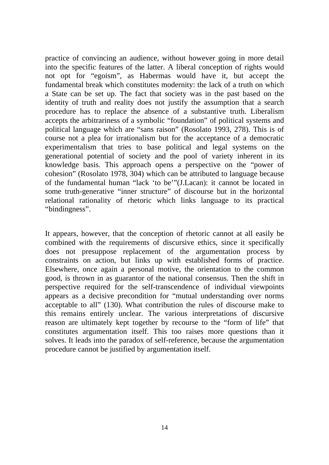practice of convincing an audience, without however going in more detail into the specific features of the latter. A liberal conception of rights would not opt for "egoism", as Habermas would have it, but accept the fundamental break which constitutes modernity: the lack of a truth on which a State can be set up. The fact that society was in the past based on the identity of truth and reality does not justify the assumption that a search procedure has to replace the absence of a substantive truth. Liberalism accepts the arbitrariness of a symbolic "foundation" of political systems and political language which are "sans raison" (Rosolato 1993, 278). This is of course not a plea for irrationalism but for the acceptance of a democratic experimentalism that tries to base political and legal systems on the generational potential of society and the pool of variety inherent in its knowledge basis. This approach opens a perspective on the "power of cohesion" (Rosolato 1978, 304) which can be attributed to language because of the fundamental human "lack 'to be'"(J.Lacan): it cannot be located in some truth-generative "inner structure" of discourse but in the horizontal relational rationality of rhetoric which links language to its practical "bindingness".

It appears, however, that the conception of rhetoric cannot at all easily be combined with the requirements of discursive ethics, since it specifically does not presuppose replacement of the argumentation process by constraints on action, but links up with established forms of practice. Elsewhere, once again a personal motive, the orientation to the common good, is thrown in as guarantor of the national consensus. Then the shift in perspective required for the self-transcendence of individual viewpoints appears as a decisive precondition for "mutual understanding over norms acceptable to all" (130). What contribution the rules of discourse make to this remains entirely unclear. The various interpretations of discursive reason are ultimately kept together by recourse to the "form of life" that constitutes argumentation itself. This too raises more questions than it solves. It leads into the paradox of self-reference, because the argumentation procedure cannot be justified by argumentation itself.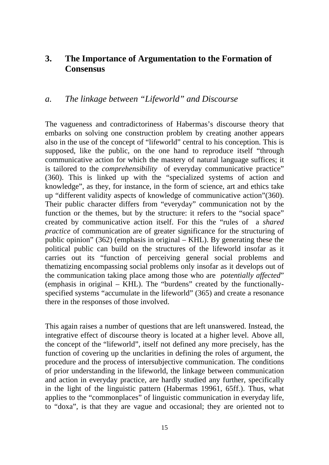## **3. The Importance of Argumentation to the Formation of Consensus**

#### *a. The linkage between "Lifeworld" and Discourse*

The vagueness and contradictoriness of Habermas's discourse theory that embarks on solving one construction problem by creating another appears also in the use of the concept of "lifeworld" central to his conception. This is supposed, like the public, on the one hand to reproduce itself "through communicative action for which the mastery of natural language suffices; it is tailored to the *comprehensibility* of everyday communicative practice" (360). This is linked up with the "specialized systems of action and knowledge", as they, for instance, in the form of science, art and ethics take up "different validity aspects of knowledge of communicative action"(360). Their public character differs from "everyday" communication not by the function or the themes, but by the structure: it refers to the "social space" created by communicative action itself. For this the "rules of a *shared practice* of communication are of greater significance for the structuring of public opinion" (362) (emphasis in original – KHL). By generating these the political public can build on the structures of the lifeworld insofar as it carries out its "function of perceiving general social problems and thematizing encompassing social problems only insofar as it develops out of the communication taking place among those who are *potentially affected*" (emphasis in original – KHL). The "burdens" created by the functionallyspecified systems "accumulate in the lifeworld" (365) and create a resonance there in the responses of those involved.

This again raises a number of questions that are left unanswered. Instead, the integrative effect of discourse theory is located at a higher level. Above all, the concept of the "lifeworld", itself not defined any more precisely, has the function of covering up the unclarities in defining the roles of argument, the procedure and the process of intersubjective communication. The conditions of prior understanding in the lifeworld, the linkage between communication and action in everyday practice, are hardly studied any further, specifically in the light of the linguistic pattern (Habermas 19961, 65ff.). Thus, what applies to the "commonplaces" of linguistic communication in everyday life, to "doxa", is that they are vague and occasional; they are oriented not to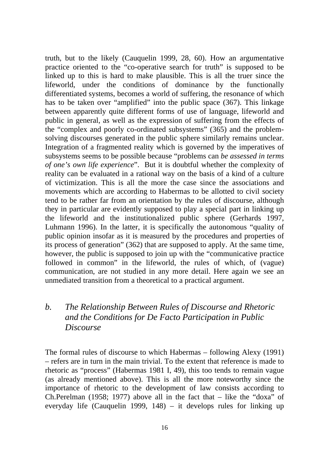truth, but to the likely (Cauquelin 1999, 28, 60). How an argumentative practice oriented to the "co-operative search for truth" is supposed to be linked up to this is hard to make plausible. This is all the truer since the lifeworld, under the conditions of dominance by the functionally differentiated systems, becomes a world of suffering, the resonance of which has to be taken over "amplified" into the public space (367). This linkage between apparently quite different forms of use of language, lifeworld and public in general, as well as the expression of suffering from the effects of the "complex and poorly co-ordinated subsystems" (365) and the problemsolving discourses generated in the public sphere similarly remains unclear. Integration of a fragmented reality which is governed by the imperatives of subsystems seems to be possible because "problems can *be assessed in terms of one's own life experience*". But it is doubtful whether the complexity of reality can be evaluated in a rational way on the basis of a kind of a culture of victimization. This is all the more the case since the associations and movements which are according to Habermas to be allotted to civil society tend to be rather far from an orientation by the rules of discourse, although they in particular are evidently supposed to play a special part in linking up the lifeworld and the institutionalized public sphere (Gerhards 1997, Luhmann 1996). In the latter, it is specifically the autonomous "quality of public opinion insofar as it is measured by the procedures and properties of its process of generation" (362) that are supposed to apply. At the same time, however, the public is supposed to join up with the "communicative practice followed in common" in the lifeworld, the rules of which, of (vague) communication, are not studied in any more detail. Here again we see an unmediated transition from a theoretical to a practical argument.

# *b. The Relationship Between Rules of Discourse and Rhetoric and the Conditions for De Facto Participation in Public Discourse*

The formal rules of discourse to which Habermas – following Alexy (1991) – refers are in turn in the main trivial. To the extent that reference is made to rhetoric as "process" (Habermas 1981 I, 49), this too tends to remain vague (as already mentioned above). This is all the more noteworthy since the importance of rhetoric to the development of law consists according to Ch.Perelman (1958; 1977) above all in the fact that – like the "doxa" of everyday life (Cauquelin 1999, 148) – it develops rules for linking up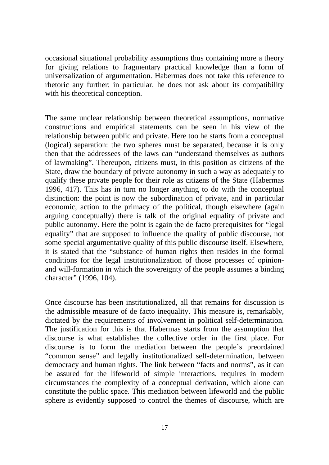occasional situational probability assumptions thus containing more a theory for giving relations to fragmentary practical knowledge than a form of universalization of argumentation. Habermas does not take this reference to rhetoric any further; in particular, he does not ask about its compatibility with his theoretical conception.

The same unclear relationship between theoretical assumptions, normative constructions and empirical statements can be seen in his view of the relationship between public and private. Here too he starts from a conceptual (logical) separation: the two spheres must be separated, because it is only then that the addressees of the laws can "understand themselves as authors of lawmaking". Thereupon, citizens must, in this position as citizens of the State, draw the boundary of private autonomy in such a way as adequately to qualify these private people for their role as citizens of the State (Habermas 1996, 417). This has in turn no longer anything to do with the conceptual distinction: the point is now the subordination of private, and in particular economic, action to the primacy of the political, though elsewhere (again arguing conceptually) there is talk of the original equality of private and public autonomy. Here the point is again the de facto prerequisites for "legal equality" that are supposed to influence the quality of public discourse, not some special argumentative quality of this public discourse itself. Elsewhere, it is stated that the "substance of human rights then resides in the formal conditions for the legal institutionalization of those processes of opinionand will-formation in which the sovereignty of the people assumes a binding character" (1996, 104).

Once discourse has been institutionalized, all that remains for discussion is the admissible measure of de facto inequality. This measure is, remarkably, dictated by the requirements of involvement in political self-determination. The justification for this is that Habermas starts from the assumption that discourse is what establishes the collective order in the first place. For discourse is to form the mediation between the people's preordained "common sense" and legally institutionalized self-determination, between democracy and human rights. The link between "facts and norms", as it can be assured for the lifeworld of simple interactions, requires in modern circumstances the complexity of a conceptual derivation, which alone can constitute the public space. This mediation between lifeworld and the public sphere is evidently supposed to control the themes of discourse, which are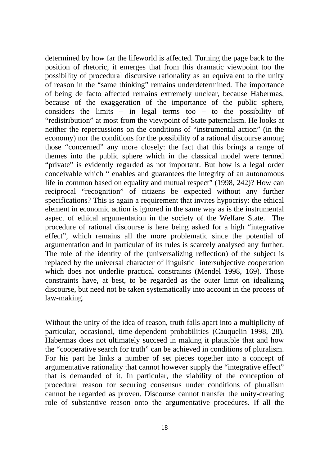determined by how far the lifeworld is affected. Turning the page back to the position of rhetoric, it emerges that from this dramatic viewpoint too the possibility of procedural discursive rationality as an equivalent to the unity of reason in the "same thinking" remains underdetermined. The importance of being de facto affected remains extremely unclear, because Habermas, because of the exaggeration of the importance of the public sphere, considers the limits – in legal terms too – to the possibility of "redistribution" at most from the viewpoint of State paternalism. He looks at neither the repercussions on the conditions of "instrumental action" (in the economy) nor the conditions for the possibility of a rational discourse among those "concerned" any more closely: the fact that this brings a range of themes into the public sphere which in the classical model were termed "private" is evidently regarded as not important. But how is a legal order conceivable which " enables and guarantees the integrity of an autonomous life in common based on equality and mutual respect" (1998, 242)? How can reciprocal "recognition" of citizens be expected without any further specifications? This is again a requirement that invites hypocrisy: the ethical element in economic action is ignored in the same way as is the instrumental aspect of ethical argumentation in the society of the Welfare State. The procedure of rational discourse is here being asked for a high "integrative effect", which remains all the more problematic since the potential of argumentation and in particular of its rules is scarcely analysed any further. The role of the identity of the (universalizing reflection) of the subject is replaced by the universal character of linguistic intersubjective cooperation which does not underlie practical constraints (Mendel 1998, 169). Those constraints have, at best, to be regarded as the outer limit on idealizing discourse, but need not be taken systematically into account in the process of law-making.

Without the unity of the idea of reason, truth falls apart into a multiplicity of particular, occasional, time-dependent probabilities (Cauquelin 1998, 28). Habermas does not ultimately succeed in making it plausible that and how the "cooperative search for truth" can be achieved in conditions of pluralism. For his part he links a number of set pieces together into a concept of argumentative rationality that cannot however supply the "integrative effect" that is demanded of it. In particular, the viability of the conception of procedural reason for securing consensus under conditions of pluralism cannot be regarded as proven. Discourse cannot transfer the unity-creating role of substantive reason onto the argumentative procedures. If all the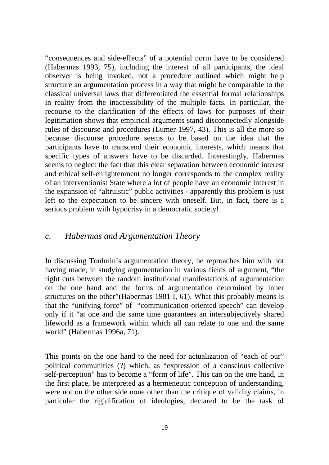"consequences and side-effects" of a potential norm have to be considered (Habermas 1993, 75), including the interest of all participants, the ideal observer is being invoked, not a procedure outlined which might help structure an argumentation process in a way that might be comparable to the classical universal laws that differentiated the essential formal relationships in reality from the inaccessibility of the multiple facts. In particular, the recourse to the clarification of the effects of laws for purposes of their legitimation shows that empirical arguments stand disconnectedly alongside rules of discourse and procedures (Lumer 1997, 43). This is all the more so because discourse procedure seems to be based on the idea that the participants have to transcend their economic interests, which means that specific types of answers have to be discarded. Interestingly, Habermas seems to neglect the fact that this clear separation between economic interest and ethical self-enlightenment no longer corresponds to the complex reality of an interventionist State where a lot of people have an economic interest in the expansion of "altruistic" public activities - apparently this problem is just left to the expectation to be sincere with oneself. But, in fact, there is a serious problem with hypocrisy in a democratic society!

#### *c. Habermas and Argumentation Theory*

In discussing Toulmin's argumentation theory, he reproaches him with not having made, in studying argumentation in various fields of argument, "the right cuts between the random institutional manifestations of argumentation on the one hand and the forms of argumentation determined by inner structures on the other"(Habermas 1981 I, 61). What this probably means is that the "unifying force" of "communication-oriented speech" can develop only if it "at one and the same time guarantees an intersubjectively shared lifeworld as a framework within which all can relate to one and the same world" (Habermas 1996a, 71).

This points on the one hand to the need for actualization of "each of our" political communities (?) which, as "expression of a conscious collective self-perception" has to become a "form of life". This can on the one hand, in the first place, be interpreted as a hermeneutic conception of understanding, were not on the other side none other than the critique of validity claims, in particular the rigidification of ideologies, declared to be the task of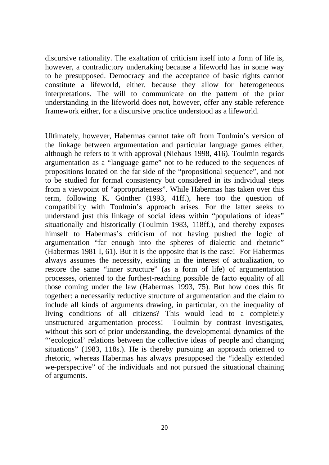discursive rationality. The exaltation of criticism itself into a form of life is, however, a contradictory undertaking because a lifeworld has in some way to be presupposed. Democracy and the acceptance of basic rights cannot constitute a lifeworld, either, because they allow for heterogeneous interpretations. The will to communicate on the pattern of the prior understanding in the lifeworld does not, however, offer any stable reference framework either, for a discursive practice understood as a lifeworld.

Ultimately, however, Habermas cannot take off from Toulmin's version of the linkage between argumentation and particular language games either, although he refers to it with approval (Niehaus 1998, 416). Toulmin regards argumentation as a "language game" not to be reduced to the sequences of propositions located on the far side of the "propositional sequence", and not to be studied for formal consistency but considered in its individual steps from a viewpoint of "appropriateness". While Habermas has taken over this term, following K. Günther (1993, 41ff.), here too the question of compatibility with Toulmin's approach arises. For the latter seeks to understand just this linkage of social ideas within "populations of ideas" situationally and historically (Toulmin 1983, 118ff.), and thereby exposes himself to Habermas's criticism of not having pushed the logic of argumentation "far enough into the spheres of dialectic and rhetoric" (Habermas 1981 I, 61). But it is the opposite that is the case! For Habermas always assumes the necessity, existing in the interest of actualization, to restore the same "inner structure" (as a form of life) of argumentation processes, oriented to the furthest-reaching possible de facto equality of all those coming under the law (Habermas 1993, 75). But how does this fit together: a necessarily reductive structure of argumentation and the claim to include all kinds of arguments drawing, in particular, on the inequality of living conditions of all citizens? This would lead to a completely unstructured argumentation process! Toulmin by contrast investigates, without this sort of prior understanding, the developmental dynamics of the "'ecological' relations between the collective ideas of people and changing situations" (1983, 118s.). He is thereby pursuing an approach oriented to rhetoric, whereas Habermas has always presupposed the "ideally extended we-perspective" of the individuals and not pursued the situational chaining of arguments.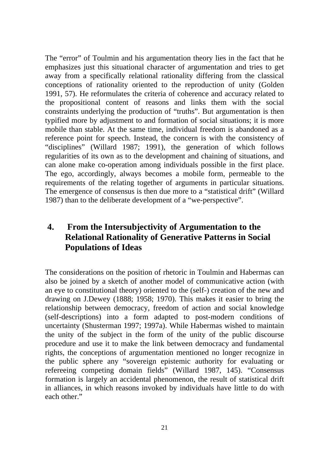The "error" of Toulmin and his argumentation theory lies in the fact that he emphasizes just this situational character of argumentation and tries to get away from a specifically relational rationality differing from the classical conceptions of rationality oriented to the reproduction of unity (Golden 1991, 57). He reformulates the criteria of coherence and accuracy related to the propositional content of reasons and links them with the social constraints underlying the production of "truths". But argumentation is then typified more by adjustment to and formation of social situations; it is more mobile than stable. At the same time, individual freedom is abandoned as a reference point for speech. Instead, the concern is with the consistency of "disciplines" (Willard 1987; 1991), the generation of which follows regularities of its own as to the development and chaining of situations, and can alone make co-operation among individuals possible in the first place. The ego, accordingly, always becomes a mobile form, permeable to the requirements of the relating together of arguments in particular situations. The emergence of consensus is then due more to a "statistical drift" (Willard 1987) than to the deliberate development of a "we-perspective".

# **4. From the Intersubjectivity of Argumentation to the Relational Rationality of Generative Patterns in Social Populations of Ideas**

The considerations on the position of rhetoric in Toulmin and Habermas can also be joined by a sketch of another model of communicative action (with an eye to constitutional theory) oriented to the (self-) creation of the new and drawing on J.Dewey (1888; 1958; 1970). This makes it easier to bring the relationship between democracy, freedom of action and social knowledge (self-descriptions) into a form adapted to post-modern conditions of uncertainty (Shusterman 1997; 1997a). While Habermas wished to maintain the unity of the subject in the form of the unity of the public discourse procedure and use it to make the link between democracy and fundamental rights, the conceptions of argumentation mentioned no longer recognize in the public sphere any "sovereign epistemic authority for evaluating or refereeing competing domain fields" (Willard 1987, 145). "Consensus formation is largely an accidental phenomenon, the result of statistical drift in alliances, in which reasons invoked by individuals have little to do with each other."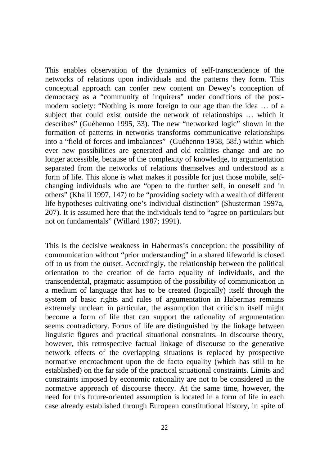This enables observation of the dynamics of self-transcendence of the networks of relations upon individuals and the patterns they form. This conceptual approach can confer new content on Dewey's conception of democracy as a "community of inquirers" under conditions of the postmodern society: "Nothing is more foreign to our age than the idea … of a subject that could exist outside the network of relationships … which it describes" (Guéhenno 1995, 33). The new "networked logic" shown in the formation of patterns in networks transforms communicative relationships into a "field of forces and imbalances" (Guéhenno 1958, 58f.) within which ever new possibilities are generated and old realities change and are no longer accessible, because of the complexity of knowledge, to argumentation separated from the networks of relations themselves and understood as a form of life. This alone is what makes it possible for just those mobile, selfchanging individuals who are "open to the further self, in oneself and in others" (Khalil 1997, 147) to be "providing society with a wealth of different life hypotheses cultivating one's individual distinction" (Shusterman 1997a, 207). It is assumed here that the individuals tend to "agree on particulars but not on fundamentals" (Willard 1987; 1991).

This is the decisive weakness in Habermas's conception: the possibility of communication without "prior understanding" in a shared lifeworld is closed off to us from the outset. Accordingly, the relationship between the political orientation to the creation of de facto equality of individuals, and the transcendental, pragmatic assumption of the possibility of communication in a medium of language that has to be created (logically) itself through the system of basic rights and rules of argumentation in Habermas remains extremely unclear: in particular, the assumption that criticism itself might become a form of life that can support the rationality of argumentation seems contradictory. Forms of life are distinguished by the linkage between linguistic figures and practical situational constraints. In discourse theory, however, this retrospective factual linkage of discourse to the generative network effects of the overlapping situations is replaced by prospective normative encroachment upon the de facto equality (which has still to be established) on the far side of the practical situational constraints. Limits and constraints imposed by economic rationality are not to be considered in the normative approach of discourse theory. At the same time, however, the need for this future-oriented assumption is located in a form of life in each case already established through European constitutional history, in spite of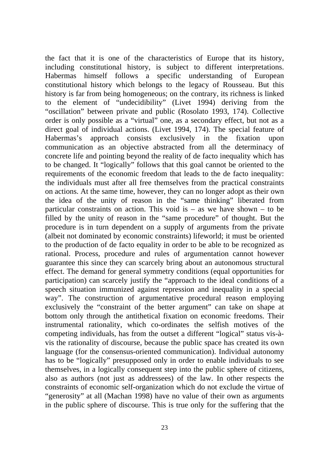the fact that it is one of the characteristics of Europe that its history, including constitutional history, is subject to different interpretations. Habermas himself follows a specific understanding of European constitutional history which belongs to the legacy of Rousseau. But this history is far from being homogeneous; on the contrary, its richness is linked to the element of "undecidibility" (Livet 1994) deriving from the "oscillation" between private and public (Rosolato 1993, 174). Collective order is only possible as a "virtual" one, as a secondary effect, but not as a direct goal of individual actions. (Livet 1994, 174). The special feature of Habermas's approach consists exclusively in the fixation upon communication as an objective abstracted from all the determinacy of concrete life and pointing beyond the reality of de facto inequality which has to be changed. It "logically" follows that this goal cannot be oriented to the requirements of the economic freedom that leads to the de facto inequality: the individuals must after all free themselves from the practical constraints on actions. At the same time, however, they can no longer adopt as their own the idea of the unity of reason in the "same thinking" liberated from particular constraints on action. This void is – as we have shown – to be filled by the unity of reason in the "same procedure" of thought. But the procedure is in turn dependent on a supply of arguments from the private (albeit not dominated by economic constraints) lifeworld; it must be oriented to the production of de facto equality in order to be able to be recognized as rational. Process, procedure and rules of argumentation cannot however guarantee this since they can scarcely bring about an autonomous structural effect. The demand for general symmetry conditions (equal opportunities for participation) can scarcely justify the "approach to the ideal conditions of a speech situation immunized against repression and inequality in a special way". The construction of argumentative procedural reason employing exclusively the "constraint of the better argument" can take on shape at bottom only through the antithetical fixation on economic freedoms. Their instrumental rationality, which co-ordinates the selfish motives of the competing individuals, has from the outset a different "logical" status vis-àvis the rationality of discourse, because the public space has created its own language (for the consensus-oriented communication). Individual autonomy has to be "logically" presupposed only in order to enable individuals to see themselves, in a logically consequent step into the public sphere of citizens, also as authors (not just as addressees) of the law. In other respects the constraints of economic self-organization which do not exclude the virtue of "generosity" at all (Machan 1998) have no value of their own as arguments in the public sphere of discourse. This is true only for the suffering that the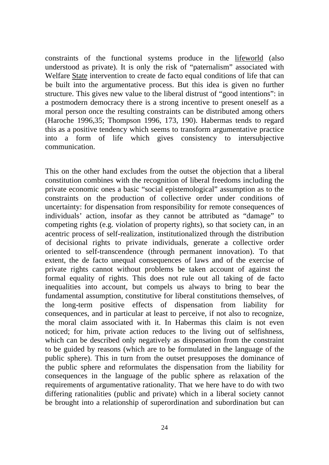constraints of the functional systems produce in the lifeworld (also understood as private). It is only the risk of "paternalism" associated with Welfare State intervention to create de facto equal conditions of life that can be built into the argumentative process. But this idea is given no further structure. This gives new value to the liberal distrust of "good intentions": in a postmodern democracy there is a strong incentive to present oneself as a moral person once the resulting constraints can be distributed among others (Haroche 1996,35; Thompson 1996, 173, 190). Habermas tends to regard this as a positive tendency which seems to transform argumentative practice into a form of life which gives consistency to intersubjective communication.

This on the other hand excludes from the outset the objection that a liberal constitution combines with the recognition of liberal freedoms including the private economic ones a basic "social epistemological" assumption as to the constraints on the production of collective order under conditions of uncertainty: for dispensation from responsibility for remote consequences of individuals' action, insofar as they cannot be attributed as "damage" to competing rights (e.g. violation of property rights), so that society can, in an acentric process of self-realization, institutionalized through the distribution of decisional rights to private individuals, generate a collective order oriented to self-transcendence (through permanent innovation). To that extent, the de facto unequal consequences of laws and of the exercise of private rights cannot without problems be taken account of against the formal equality of rights. This does not rule out all taking of de facto inequalities into account, but compels us always to bring to bear the fundamental assumption, constitutive for liberal constitutions themselves, of the long-term positive effects of dispensation from liability for consequences, and in particular at least to perceive, if not also to recognize, the moral claim associated with it. In Habermas this claim is not even noticed; for him, private action reduces to the living out of selfishness, which can be described only negatively as dispensation from the constraint to be guided by reasons (which are to be formulated in the language of the public sphere). This in turn from the outset presupposes the dominance of the public sphere and reformulates the dispensation from the liability for consequences in the language of the public sphere as relaxation of the requirements of argumentative rationality. That we here have to do with two differing rationalities (public and private) which in a liberal society cannot be brought into a relationship of superordination and subordination but can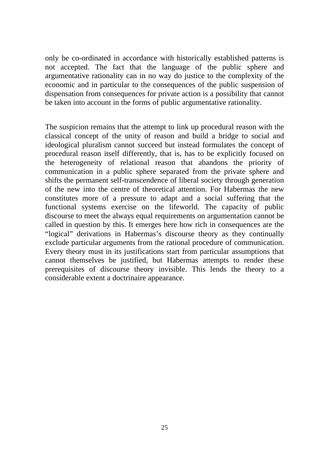only be co-ordinated in accordance with historically established patterns is not accepted. The fact that the language of the public sphere and argumentative rationality can in no way do justice to the complexity of the economic and in particular to the consequences of the public suspension of dispensation from consequences for private action is a possibility that cannot be taken into account in the forms of public argumentative rationality.

The suspicion remains that the attempt to link up procedural reason with the classical concept of the unity of reason and build a bridge to social and ideological pluralism cannot succeed but instead formulates the concept of procedural reason itself differently, that is, has to be explicitly focused on the heterogeneity of relational reason that abandons the priority of communication in a public sphere separated from the private sphere and shifts the permanent self-transcendence of liberal society through generation of the new into the centre of theoretical attention. For Habermas the new constitutes more of a pressure to adapt and a social suffering that the functional systems exercise on the lifeworld. The capacity of public discourse to meet the always equal requirements on argumentation cannot be called in question by this. It emerges here how rich in consequences are the "logical" derivations in Habermas's discourse theory as they continually exclude particular arguments from the rational procedure of communication. Every theory must in its justifications start from particular assumptions that cannot themselves be justified, but Habermas attempts to render these prerequisites of discourse theory invisible. This lends the theory to a considerable extent a doctrinaire appearance.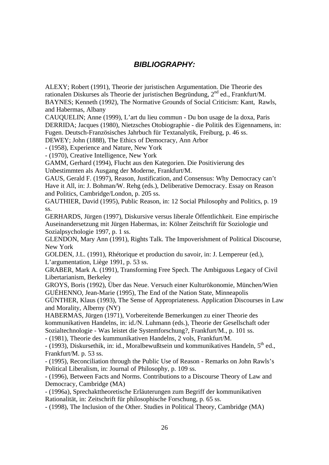## *BIBLIOGRAPHY:*

ALEXY; Robert (1991), Theorie der juristischen Argumentation. Die Theorie des rationalen Diskurses als Theorie der juristischen Begründung, 2nd ed., Frankfurt/M. BAYNES; Kenneth (1992), The Normative Grounds of Social Criticism: Kant, Rawls, and Habermas, Albany

CAUQUELIN; Anne (1999), L'art du lieu commun - Du bon usage de la doxa, Paris DERRIDA; Jacques (1980), Nietzsches Otobiographie - die Politik des Eigennamens, in: Fugen. Deutsch-Französisches Jahrbuch für Textanalytik, Freiburg, p. 46 ss.

DEWEY; John (1888), The Ethics of Democracy, Ann Arbor

- (1958), Experience and Nature, New York

- (1970), Creative Intelligence, New York

GAMM, Gerhard (1994), Flucht aus den Kategorien. Die Positivierung des Unbestimmten als Ausgang der Moderne, Frankfurt/M.

GAUS, Gerald F. (1997), Reason, Justification, and Consensus: Why Democracy can't Have it All, in: J. Bohman/W. Rehg (eds.), Deliberative Democracy. Essay on Reason and Politics, Cambridge/London, p. 205 ss.

GAUTHIER, David (1995), Public Reason, in: 12 Social Philosophy and Politics, p. 19 ss.

GERHARDS, Jürgen (1997), Diskursive versus liberale Öffentlichkeit. Eine empirische Auseinandersetzung mit Jürgen Habermas, in: Kölner Zeitschrift für Soziologie und Sozialpsychologie 1997, p. 1 ss.

GLENDON, Mary Ann (1991), Rights Talk. The Impoverishment of Political Discourse, New York

GOLDEN, J.L. (1991), Rhétorique et production du savoir, in: J. Lempereur (ed.), L'argumentation, Liège 1991, p. 53 ss.

GRABER, Mark A. (1991), Transforming Free Spech. The Ambiguous Legacy of Civil Libertarianism, Berkeley

GROYS, Boris (1992), Über das Neue. Versuch einer Kulturökonomie, München/Wien GUÉHENNO, Jean-Marie (1995), The End of the Nation State, Minneapolis

GÜNTHER, Klaus (1993), The Sense of Appropriateness. Application Discourses in Law and Morality, Alberny (NY)

HABERMAS, Jürgen (1971), Vorbereitende Bemerkungen zu einer Theorie des kommunikativen Handelns, in: id./N. Luhmann (eds.), Theorie der Gesellschaft oder Sozialtechnologie - Was leistet die Systemforschung?, Frankfurt/M., p. 101 ss.

- (1981), Theorie des kummunikativen Handelns, 2 vols, Frankfurt/M.

 $-$  (1993), Diskursethik, in: id., Moralbewußtsein und kommunikatives Handeln,  $5<sup>th</sup>$  ed., Frankfurt/M. p. 53 ss.

- (1995), Reconciliation through the Public Use of Reason - Remarks on John Rawls's Political Liberalism, in: Journal of Philosophy, p. 109 ss.

- (1996), Between Facts and Norms. Contributions to a Discourse Theory of Law and Democracy, Cambridge (MA)

- (1996a), Sprechakttheoretische Erläuterungen zum Begriff der kommunikativen Rationalität, in: Zeitschrift für philosophische Forschung, p. 65 ss.

- (1998), The Inclusion of the Other. Studies in Political Theory, Cambridge (MA)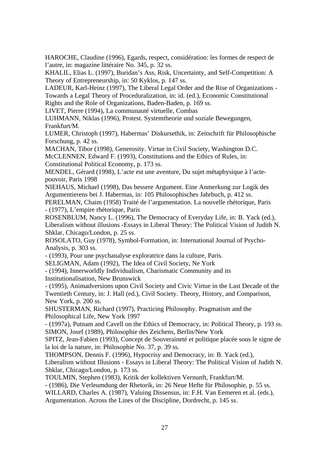HAROCHE, Claudine (1996), Egards, respect, considération: les formes de respect de l'autre, in: magazine littéraire No. 345, p. 32 ss.

KHALIL, Elias L. (1997), Buridan's Ass, Risk, Uncertainty, and Self-Competition: A Theory of Entrepreneurship, in: 50 Kyklos, p. 147 ss.

LADEUR, Karl-Heinz (1997), The Liberal Legal Order and the Rise of Organizations - Towards a Legal Theory of Proceduralization, in: id. (ed.), Economic Constitutional Rights and the Role of Organizations, Baden-Baden, p. 169 ss.

LIVET, Pierre (1994), La communauté virtuelle, Combas

LUHMANN, Niklas (1996), Protest. Systemtheorie und soziale Bewegungen, Frankfurt/M.

LUMER, Christoph (1997), Habermas' Diskursethik, in: Zeitschrift für Philosophische Forschung, p. 42 ss.

MACHAN, Tibor (1998), Generosity. Virtue in Civil Society, Washington D.C. McCLENNEN, Edward F. (1993), Constitutions and the Ethics of Rules, in:

Constitutional Political Economy, p. 173 ss.

MENDEL, Gérard (1998), L'acte est une aventure, Du sujet métaphysique à l'actepouvoir, Paris 1998

NIEHAUS, Michael (1998), Das bessere Argument. Eine Anmerkung zur Logik des Argumentierens bei J. Habermas, in: 105 Philosophisches Jahrbuch, p. 412 ss.

PERELMAN, Chaim (1958) Traité de l'argumentation. La nouvelle rhétorique, Paris - (1977), L'empire rhétorique, Paris

ROSENBLUM, Nancy L. (1996), The Democracy of Everyday Life, in: B. Yack (ed.), Liberalism without illusions -Essays in Liberal Theory: The Political Vision of Judith N. Shklar, Chicago/London, p. 25 ss.

ROSOLATO, Guy (1978), Symbol-Formation, in: International Journal of Psycho-Analysis, p. 303 ss.

- (1993), Pour une psychanalyse exploratrice dans la culture, Paris.

SELIGMAN, Adam (1992), The Idea of Civil Society, Ne York

- (1994), Innerworldly Individualism, Charismatic Community and its Institutionalisation, New Brunswick

- (1995), Animadversions upon Civil Society and Civic Virtue in the Last Decade of the Twentieth Century, in: J. Hall (ed.), Civil Society. Theory, History, and Comparison, New York, p. 200 ss.

SHUSTERMAN, Richard (1997), Practicing Philosophy. Pragmatism and the Philosophical Life, New York 1997

- (1997a), Putnam and Cavell on the Ethics of Democracy, in: Political Theory, p. 193 ss. SIMON, Josef (1989), Philosophie des Zeichens, Berlin/New York

SPITZ, Jean-Fabien (1993), Concept de Souveraineté et politique placée sous le signe de la loi de la nature, in: Philosophie No. 37, p. 39 ss.

THOMPSON, Dennis F. (1996), Hypocrisy and Democracy, in: B. Yack (ed.),

Liberalism without Illusions - Essays in Liberal Theory: The Political Vision of Judith N. Shklar, Chicago/London, p. 173 ss.

TOULMIN, Stephen (1983), Kritik der kollektiven Vernunft, Frankfurt/M.

- (1986), Die Verleumdung der Rhetorik, in: 26 Neue Hefte für Philosophie, p. 55 ss.

WILLARD, Charles A. (1987), Valuing Dissensus, in: F.H. Van Eemeren et al. (eds.),

Argumentation. Across the Lines of the Discipline, Dordrecht, p. 145 ss.